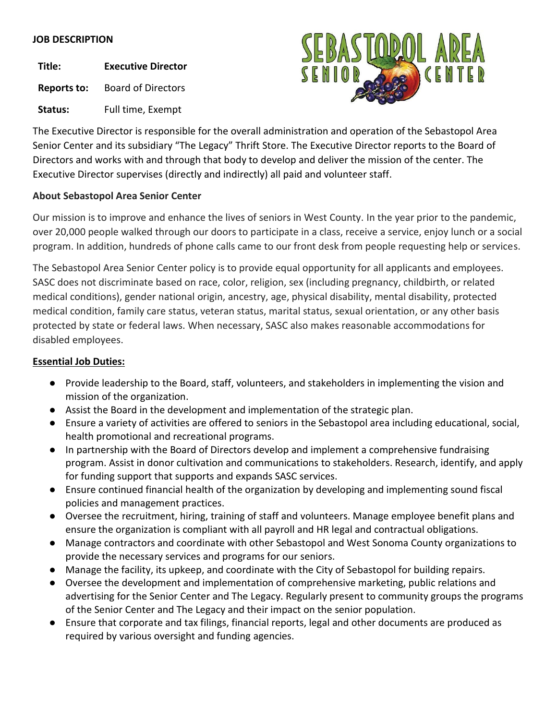# **JOB DESCRIPTION**

**Title: Executive Director**

**Reports to:** Board of Directors

Status: Full time, Exempt



The Executive Director is responsible for the overall administration and operation of the Sebastopol Area Senior Center and its subsidiary "The Legacy" Thrift Store. The Executive Director reports to the Board of Directors and works with and through that body to develop and deliver the mission of the center. The Executive Director supervises (directly and indirectly) all paid and volunteer staff.

# **About Sebastopol Area Senior Center**

Our mission is to improve and enhance the lives of seniors in West County. In the year prior to the pandemic, over 20,000 people walked through our doors to participate in a class, receive a service, enjoy lunch or a social program. In addition, hundreds of phone calls came to our front desk from people requesting help or services.

The Sebastopol Area Senior Center policy is to provide equal opportunity for all applicants and employees. SASC does not discriminate based on race, color, religion, sex (including pregnancy, childbirth, or related medical conditions), gender national origin, ancestry, age, physical disability, mental disability, protected medical condition, family care status, veteran status, marital status, sexual orientation, or any other basis protected by state or federal laws. When necessary, SASC also makes reasonable accommodations for disabled employees.

# **Essential Job Duties:**

- Provide leadership to the Board, staff, volunteers, and stakeholders in implementing the vision and mission of the organization.
- Assist the Board in the development and implementation of the strategic plan.
- Ensure a variety of activities are offered to seniors in the Sebastopol area including educational, social, health promotional and recreational programs.
- In partnership with the Board of Directors develop and implement a comprehensive fundraising program. Assist in donor cultivation and communications to stakeholders. Research, identify, and apply for funding support that supports and expands SASC services.
- Ensure continued financial health of the organization by developing and implementing sound fiscal policies and management practices.
- Oversee the recruitment, hiring, training of staff and volunteers. Manage employee benefit plans and ensure the organization is compliant with all payroll and HR legal and contractual obligations.
- Manage contractors and coordinate with other Sebastopol and West Sonoma County organizations to provide the necessary services and programs for our seniors.
- Manage the facility, its upkeep, and coordinate with the City of Sebastopol for building repairs.
- Oversee the development and implementation of comprehensive marketing, public relations and advertising for the Senior Center and The Legacy. Regularly present to community groups the programs of the Senior Center and The Legacy and their impact on the senior population.
- Ensure that corporate and tax filings, financial reports, legal and other documents are produced as required by various oversight and funding agencies.